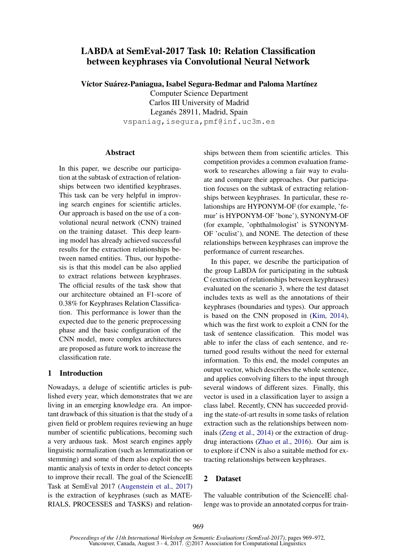# LABDA at SemEval-2017 Task 10: Relation Classification between keyphrases via Convolutional Neural Network

Víctor Suárez-Paniagua, Isabel Segura-Bedmar and Paloma Martínez

Computer Science Department Carlos III University of Madrid Leganés 28911, Madrid, Spain vspaniag,isegura,pmf@inf.uc3m.es

### **Abstract**

In this paper, we describe our participation at the subtask of extraction of relationships between two identified keyphrases. This task can be very helpful in improving search engines for scientific articles. Our approach is based on the use of a convolutional neural network (CNN) trained on the training dataset. This deep learning model has already achieved successful results for the extraction relationships between named entities. Thus, our hypothesis is that this model can be also applied to extract relations between keyphrases. The official results of the task show that our architecture obtained an F1-score of 0.38% for Keyphrases Relation Classification. This performance is lower than the expected due to the generic preprocessing phase and the basic configuration of the CNN model, more complex architectures are proposed as future work to increase the classification rate.

## 1 Introduction

Nowadays, a deluge of scientific articles is published every year, which demonstrates that we are living in an emerging knowledge era. An important drawback of this situation is that the study of a given field or problem requires reviewing an huge number of scientific publications, becoming such a very arduous task. Most search engines apply linguistic normalization (such as lemmatization or stemming) and some of them also exploit the semantic analysis of texts in order to detect concepts to improve their recall. The goal of the ScienceIE Task at SemEval 2017 (Augenstein et al., 2017) is the extraction of keyphrases (such as MATE-RIALS, PROCESSES and TASKS) and relation-

ships between them from scientific articles. This competition provides a common evaluation framework to researches allowing a fair way to evaluate and compare their approaches. Our participation focuses on the subtask of extracting relationships between keyphrases. In particular, these relationships are HYPONYM-OF (for example, 'femur' is HYPONYM-OF 'bone'), SYNONYM-OF (for example, 'ophthalmologist' is SYNONYM-OF 'oculist'), and NONE. The detection of these relationships between keyphrases can improve the performance of current researches.

In this paper, we describe the participation of the group LaBDA for participating in the subtask C (extraction of relationships between keyphrases) evaluated on the scenario 3, where the test dataset includes texts as well as the annotations of their keyphrases (boundaries and types). Our approach is based on the CNN proposed in (Kim, 2014), which was the first work to exploit a CNN for the task of sentence classification. This model was able to infer the class of each sentence, and returned good results without the need for external information. To this end, the model computes an output vector, which describes the whole sentence, and applies convolving filters to the input through several windows of different sizes. Finally, this vector is used in a classification layer to assign a class label. Recently, CNN has succeeded providing the state-of-art results in some tasks of relation extraction such as the relationships between nominals (Zeng et al., 2014) or the extraction of drugdrug interactions (Zhao et al., 2016). Our aim is to explore if CNN is also a suitable method for extracting relationships between keyphrases.

## 2 Dataset

The valuable contribution of the ScienceIE challenge was to provide an annotated corpus for train-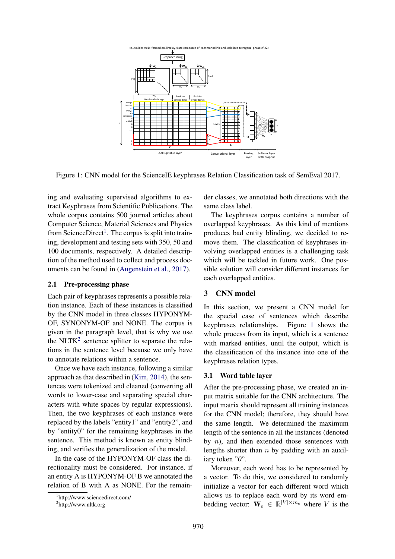

Figure 1: CNN model for the ScienceIE keyphrases Relation Classification task of SemEval 2017.

ing and evaluating supervised algorithms to extract Keyphrases from Scientific Publications. The whole corpus contains 500 journal articles about Computer Science, Material Sciences and Physics from ScienceDirect<sup>1</sup>. The corpus is split into training, development and testing sets with 350, 50 and 100 documents, respectively. A detailed description of the method used to collect and process documents can be found in (Augenstein et al., 2017).

#### 2.1 Pre-processing phase

Each pair of keyphrases represents a possible relation instance. Each of these instances is classified by the CNN model in three classes HYPONYM-OF, SYNONYM-OF and NONE. The corpus is given in the paragraph level, that is why we use the NLTK<sup>2</sup> sentence splitter to separate the relations in the sentence level because we only have to annotate relations within a sentence.

Once we have each instance, following a similar approach as that described in (Kim, 2014), the sentences were tokenized and cleaned (converting all words to lower-case and separating special characters with white spaces by regular expressions). Then, the two keyphrases of each instance were replaced by the labels "entity1" and "entity2", and by "entity0" for the remaining keyphrases in the sentence. This method is known as entity blinding, and verifies the generalization of the model.

In the case of the HYPONYM-OF class the directionality must be considered. For instance, if an entity A is HYPONYM-OF B we annotated the relation of B with A as NONE. For the remain-

der classes, we annotated both directions with the same class label.

The keyphrases corpus contains a number of overlapped keyphrases. As this kind of mentions produces bad entity blinding, we decided to remove them. The classification of keyphrases involving overlapped entities is a challenging task which will be tackled in future work. One possible solution will consider different instances for each overlapped entities.

## 3 CNN model

In this section, we present a CNN model for the special case of sentences which describe keyphrases relationships. Figure 1 shows the whole process from its input, which is a sentence with marked entities, until the output, which is the classification of the instance into one of the keyphrases relation types.

### 3.1 Word table layer

After the pre-processing phase, we created an input matrix suitable for the CNN architecture. The input matrix should represent all training instances for the CNN model; therefore, they should have the same length. We determined the maximum length of the sentence in all the instances (denoted by  $n$ ), and then extended those sentences with lengths shorter than  $n$  by padding with an auxiliary token "*0*".

Moreover, each word has to be represented by a vector. To do this, we considered to randomly initialize a vector for each different word which allows us to replace each word by its word embedding vector:  $\mathbf{W}_e \in \mathbb{R}^{|V| \times m_e}$  where V is the

<sup>1</sup> http://www.sciencedirect.com/

<sup>2</sup> http://www.nltk.org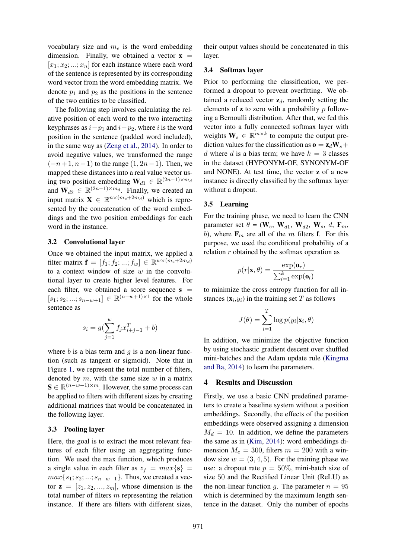vocabulary size and  $m_e$  is the word embedding dimension. Finally, we obtained a vector  $x =$  $[x_1; x_2; ...; x_n]$  for each instance where each word of the sentence is represented by its corresponding word vector from the word embedding matrix. We denote  $p_1$  and  $p_2$  as the positions in the sentence of the two entities to be classified.

The following step involves calculating the relative position of each word to the two interacting keyphrases as  $i-p_1$  and  $i-p_2$ , where i is the word position in the sentence (padded word included), in the same way as (Zeng et al., 2014). In order to avoid negative values, we transformed the range  $(-n+1, n-1)$  to the range  $(1, 2n-1)$ . Then, we mapped these distances into a real value vector using two position embedding  $\mathbf{W}_{d1} \in \mathbb{R}^{(2n-1)\times m_d}$ and  $\mathbf{W}_{d2} \in \mathbb{R}^{(2n-1)\times m_d}$ . Finally, we created an input matrix  $\mathbf{X} \in \mathbb{R}^{n \times (m_e + 2m_d)}$  which is represented by the concatenation of the word embeddings and the two position embeddings for each word in the instance.

#### 3.2 Convolutional layer

Once we obtained the input matrix, we applied a filter matrix  $\mathbf{f} = [f_1; f_2; ...; f_w] \in \mathbb{R}^{w \times (m_e + 2m_d)}$ to a context window of size  $w$  in the convolutional layer to create higher level features. For each filter, we obtained a score sequence  $s =$  $[s_1; s_2; ...; s_{n-w+1}] \in \mathbb{R}^{(n-w+1) \times 1}$  for the whole sentence as

$$
s_i = g(\sum_{j=1}^{w} f_j x_{i+j-1}^T + b)
$$

where  $b$  is a bias term and  $g$  is a non-linear function (such as tangent or sigmoid). Note that in Figure 1, we represent the total number of filters, denoted by  $m$ , with the same size  $w$  in a matrix  $\mathbf{S} \in \mathbb{R}^{(n-w+1)\times m}$ . However, the same process can be applied to filters with different sizes by creating additional matrices that would be concatenated in the following layer.

#### 3.3 Pooling layer

Here, the goal is to extract the most relevant features of each filter using an aggregating function. We used the max function, which produces a single value in each filter as  $z_f = max\{s\}$  $max\{s_1; s_2; ...; s_{n-w+1}\}.$  Thus, we created a vector  $z = [z_1, z_2, ..., z_m]$ , whose dimension is the total number of filters  $m$  representing the relation instance. If there are filters with different sizes,

their output values should be concatenated in this layer.

#### 3.4 Softmax layer

Prior to performing the classification, we performed a dropout to prevent overfitting. We obtained a reduced vector  $z_d$ , randomly setting the elements of  $z$  to zero with a probability  $p$  following a Bernoulli distribution. After that, we fed this vector into a fully connected softmax layer with weights  $\mathbf{W}_s \in \mathbb{R}^{m \times k}$  to compute the output prediction values for the classification as  $\mathbf{o} = \mathbf{z}_d \mathbf{W}_s +$ d where d is a bias term; we have  $k = 3$  classes in the dataset (HYPONYM-OF, SYNONYM-OF and NONE). At test time, the vector z of a new instance is directly classified by the softmax layer without a dropout.

#### 3.5 Learning

For the training phase, we need to learn the CNN parameter set  $\theta = (\mathbf{W}_e, \mathbf{W}_{d1}, \mathbf{W}_{d2}, \mathbf{W}_s, d, \mathbf{F}_m,$ b), where  $\mathbf{F}_m$  are all of the m filters **f**. For this purpose, we used the conditional probability of a relation  $r$  obtained by the softmax operation as

$$
p(r|\mathbf{x}, \theta) = \frac{\exp(\mathbf{o}_r)}{\sum_{l=1}^k \exp(\mathbf{o}_l)}
$$

to minimize the cross entropy function for all instances  $(\mathbf{x}_i, y_i)$  in the training set T as follows

$$
J(\theta) = \sum_{i=1}^{T} \log p(y_i | \mathbf{x}_i, \theta)
$$

In addition, we minimize the objective function by using stochastic gradient descent over shuffled mini-batches and the Adam update rule (Kingma and Ba, 2014) to learn the parameters.

## 4 Results and Discussion

Firstly, we use a basic CNN predefined parameters to create a baseline system without a position embeddings. Secondly, the effects of the position embeddings were observed assigning a dimension  $M_d = 10$ . In addition, we define the parameters the same as in (Kim, 2014): word embeddings dimension  $M_e = 300$ , filters  $m = 200$  with a window size  $w = (3, 4, 5)$ . For the training phase we use: a dropout rate  $p = 50\%$ , mini-batch size of size 50 and the Rectified Linear Unit (ReLU) as the non-linear function g. The parameter  $n = 95$ which is determined by the maximum length sentence in the dataset. Only the number of epochs